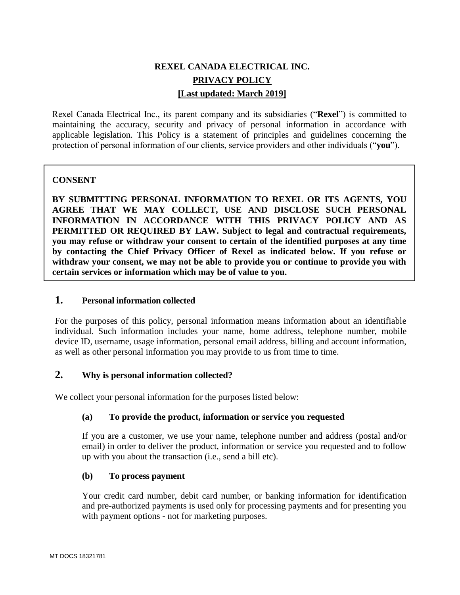# **REXEL CANADA ELECTRICAL INC. PRIVACY POLICY [Last updated: March 2019]**

Rexel Canada Electrical Inc., its parent company and its subsidiaries ("**Rexel**") is committed to maintaining the accuracy, security and privacy of personal information in accordance with applicable legislation. This Policy is a statement of principles and guidelines concerning the protection of personal information of our clients, service providers and other individuals ("**you**").

# **CONSENT**

**BY SUBMITTING PERSONAL INFORMATION TO REXEL OR ITS AGENTS, YOU AGREE THAT WE MAY COLLECT, USE AND DISCLOSE SUCH PERSONAL INFORMATION IN ACCORDANCE WITH THIS PRIVACY POLICY AND AS PERMITTED OR REQUIRED BY LAW. Subject to legal and contractual requirements, you may refuse or withdraw your consent to certain of the identified purposes at any time by contacting the Chief Privacy Officer of Rexel as indicated below. If you refuse or withdraw your consent, we may not be able to provide you or continue to provide you with certain services or information which may be of value to you.**

# **1. Personal information collected**

For the purposes of this policy, personal information means information about an identifiable individual. Such information includes your name, home address, telephone number, mobile device ID, username, usage information, personal email address, billing and account information, as well as other personal information you may provide to us from time to time.

# **2. Why is personal information collected?**

We collect your personal information for the purposes listed below:

# **(a) To provide the product, information or service you requested**

If you are a customer, we use your name, telephone number and address (postal and/or email) in order to deliver the product, information or service you requested and to follow up with you about the transaction (i.e., send a bill etc).

# **(b) To process payment**

Your credit card number, debit card number, or banking information for identification and pre-authorized payments is used only for processing payments and for presenting you with payment options - not for marketing purposes.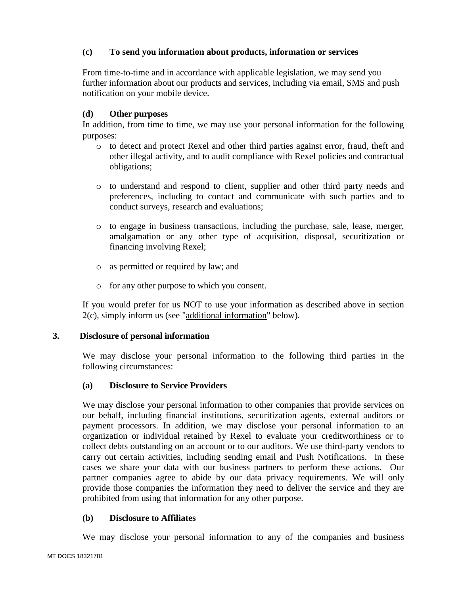# **(c) To send you information about products, information or services**

From time-to-time and in accordance with applicable legislation, we may send you further information about our products and services, including via email, SMS and push notification on your mobile device.

### **(d) Other purposes**

In addition, from time to time, we may use your personal information for the following purposes:

- o to detect and protect Rexel and other third parties against error, fraud, theft and other illegal activity, and to audit compliance with Rexel policies and contractual obligations;
- o to understand and respond to client, supplier and other third party needs and preferences, including to contact and communicate with such parties and to conduct surveys, research and evaluations;
- o to engage in business transactions, including the purchase, sale, lease, merger, amalgamation or any other type of acquisition, disposal, securitization or financing involving Rexel;
- o as permitted or required by law; and
- o for any other purpose to which you consent.

If you would prefer for us NOT to use your information as described above in section 2(c), simply inform us (see "additional information" below).

#### **3. Disclosure of personal information**

We may disclose your personal information to the following third parties in the following circumstances:

#### **(a) Disclosure to Service Providers**

We may disclose your personal information to other companies that provide services on our behalf, including financial institutions, securitization agents, external auditors or payment processors. In addition, we may disclose your personal information to an organization or individual retained by Rexel to evaluate your creditworthiness or to collect debts outstanding on an account or to our auditors. We use third-party vendors to carry out certain activities, including sending email and Push Notifications. In these cases we share your data with our business partners to perform these actions. Our partner companies agree to abide by our data privacy requirements. We will only provide those companies the information they need to deliver the service and they are prohibited from using that information for any other purpose.

#### **(b) Disclosure to Affiliates**

We may disclose your personal information to any of the companies and business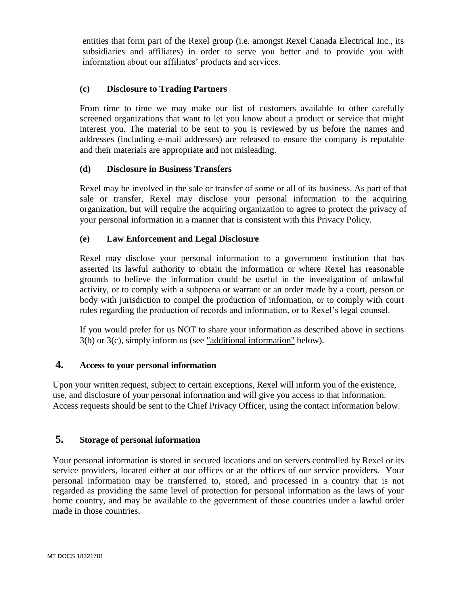entities that form part of the Rexel group (i.e. amongst Rexel Canada Electrical Inc., its subsidiaries and affiliates) in order to serve you better and to provide you with information about our affiliates' products and services.

### **(c) Disclosure to Trading Partners**

From time to time we may make our list of customers available to other carefully screened organizations that want to let you know about a product or service that might interest you. The material to be sent to you is reviewed by us before the names and addresses (including e-mail addresses) are released to ensure the company is reputable and their materials are appropriate and not misleading.

#### **(d) Disclosure in Business Transfers**

Rexel may be involved in the sale or transfer of some or all of its business. As part of that sale or transfer, Rexel may disclose your personal information to the acquiring organization, but will require the acquiring organization to agree to protect the privacy of your personal information in a manner that is consistent with this Privacy Policy.

#### **(e) Law Enforcement and Legal Disclosure**

Rexel may disclose your personal information to a government institution that has asserted its lawful authority to obtain the information or where Rexel has reasonable grounds to believe the information could be useful in the investigation of unlawful activity, or to comply with a subpoena or warrant or an order made by a court, person or body with jurisdiction to compel the production of information, or to comply with court rules regarding the production of records and information, or to Rexel's legal counsel.

If you would prefer for us NOT to share your information as described above in sections 3(b) or 3(c), simply inform us (see "additional information" below).

# **4. Access to your personal information**

Upon your written request, subject to certain exceptions, Rexel will inform you of the existence, use, and disclosure of your personal information and will give you access to that information. Access requests should be sent to the Chief Privacy Officer, using the contact information below.

# **5. Storage of personal information**

Your personal information is stored in secured locations and on servers controlled by Rexel or its service providers, located either at our offices or at the offices of our service providers. Your personal information may be transferred to, stored, and processed in a country that is not regarded as providing the same level of protection for personal information as the laws of your home country, and may be available to the government of those countries under a lawful order made in those countries.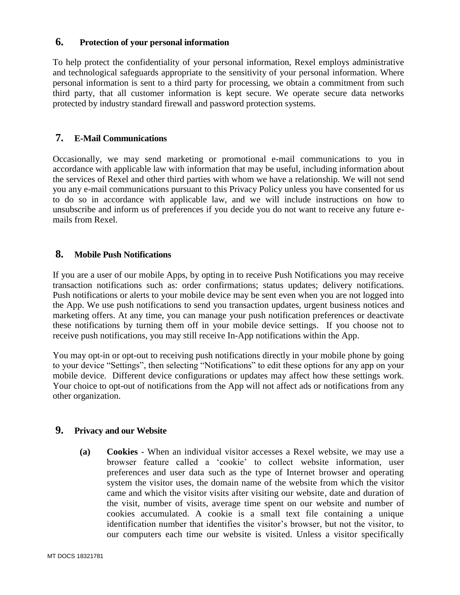### **6. Protection of your personal information**

To help protect the confidentiality of your personal information, Rexel employs administrative and technological safeguards appropriate to the sensitivity of your personal information. Where personal information is sent to a third party for processing, we obtain a commitment from such third party, that all customer information is kept secure. We operate secure data networks protected by industry standard firewall and password protection systems.

# **7. E-Mail Communications**

Occasionally, we may send marketing or promotional e-mail communications to you in accordance with applicable law with information that may be useful, including information about the services of Rexel and other third parties with whom we have a relationship. We will not send you any e-mail communications pursuant to this Privacy Policy unless you have consented for us to do so in accordance with applicable law, and we will include instructions on how to unsubscribe and inform us of preferences if you decide you do not want to receive any future emails from Rexel.

# **8. Mobile Push Notifications**

If you are a user of our mobile Apps, by opting in to receive Push Notifications you may receive transaction notifications such as: order confirmations; status updates; delivery notifications. Push notifications or alerts to your mobile device may be sent even when you are not logged into the App. We use push notifications to send you transaction updates, urgent business notices and marketing offers. At any time, you can manage your push notification preferences or deactivate these notifications by turning them off in your mobile device settings. If you choose not to receive push notifications, you may still receive In-App notifications within the App.

You may opt-in or opt-out to receiving push notifications directly in your mobile phone by going to your device "Settings", then selecting "Notifications" to edit these options for any app on your mobile device. Different device configurations or updates may affect how these settings work. Your choice to opt-out of notifications from the App will not affect ads or notifications from any other organization.

# **9. Privacy and our Website**

**(a) Cookies** - When an individual visitor accesses a Rexel website, we may use a browser feature called a 'cookie' to collect website information, user preferences and user data such as the type of Internet browser and operating system the visitor uses, the domain name of the website from which the visitor came and which the visitor visits after visiting our website, date and duration of the visit, number of visits, average time spent on our website and number of cookies accumulated. A cookie is a small text file containing a unique identification number that identifies the visitor's browser, but not the visitor, to our computers each time our website is visited. Unless a visitor specifically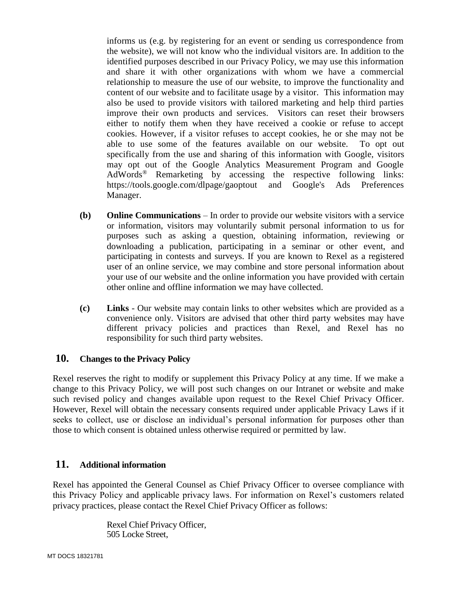informs us (e.g. by registering for an event or sending us correspondence from the website), we will not know who the individual visitors are. In addition to the identified purposes described in our Privacy Policy, we may use this information and share it with other organizations with whom we have a commercial relationship to measure the use of our website, to improve the functionality and content of our website and to facilitate usage by a visitor. This information may also be used to provide visitors with tailored marketing and help third parties improve their own products and services. Visitors can reset their browsers either to notify them when they have received a cookie or refuse to accept cookies. However, if a visitor refuses to accept cookies, he or she may not be able to use some of the features available on our website. To opt out specifically from the use and sharing of this information with Google, visitors may opt out of the Google Analytics Measurement Program and Google AdWords® Remarketing by accessing the respective following links: <https://tools.google.com/dlpage/gaoptout> and [Google's Ads Preferences](https://www.google.com/settings/ads/onweb/?sig=ACi0TCh1yimtGw_MCXmyADlHvvNP9ru5SKV9iAKbteqQbUDtboQl0SdUSbwEmoNTXTgnRO-cibkW-SaqoP_hqySYAEFc81F3x_CPdSfJh9l_RsKo6erVcaAnk4XgPtkkyHbV1Pv9yO1rb7AzNUD5rsTct1zzgNfoKIMUxeDT_4FkzCX6sP9tVEyhCzqG6ROQv5tCMf7yyMFhq2MtTRDLTch9bUH9Q9dB0jgIfyeRddAr5tNKR0-C4y20NKYzNXgSDMWONWdq4fSi&hl=en)  [Manager.](https://www.google.com/settings/ads/onweb/?sig=ACi0TCh1yimtGw_MCXmyADlHvvNP9ru5SKV9iAKbteqQbUDtboQl0SdUSbwEmoNTXTgnRO-cibkW-SaqoP_hqySYAEFc81F3x_CPdSfJh9l_RsKo6erVcaAnk4XgPtkkyHbV1Pv9yO1rb7AzNUD5rsTct1zzgNfoKIMUxeDT_4FkzCX6sP9tVEyhCzqG6ROQv5tCMf7yyMFhq2MtTRDLTch9bUH9Q9dB0jgIfyeRddAr5tNKR0-C4y20NKYzNXgSDMWONWdq4fSi&hl=en)

- **(b) Online Communications**  In order to provide our website visitors with a service or information, visitors may voluntarily submit personal information to us for purposes such as asking a question, obtaining information, reviewing or downloading a publication, participating in a seminar or other event, and participating in contests and surveys. If you are known to Rexel as a registered user of an online service, we may combine and store personal information about your use of our website and the online information you have provided with certain other online and offline information we may have collected.
- **(c) Links**  Our website may contain links to other websites which are provided as a convenience only. Visitors are advised that other third party websites may have different privacy policies and practices than Rexel, and Rexel has no responsibility for such third party websites.

# **10. Changes to the Privacy Policy**

Rexel reserves the right to modify or supplement this Privacy Policy at any time. If we make a change to this Privacy Policy, we will post such changes on our Intranet or website and make such revised policy and changes available upon request to the Rexel Chief Privacy Officer. However, Rexel will obtain the necessary consents required under applicable Privacy Laws if it seeks to collect, use or disclose an individual's personal information for purposes other than those to which consent is obtained unless otherwise required or permitted by law.

# **11. Additional information**

Rexel has appointed the General Counsel as Chief Privacy Officer to oversee compliance with this Privacy Policy and applicable privacy laws. For information on Rexel's customers related privacy practices, please contact the Rexel Chief Privacy Officer as follows:

> Rexel Chief Privacy Officer, 505 Locke Street,